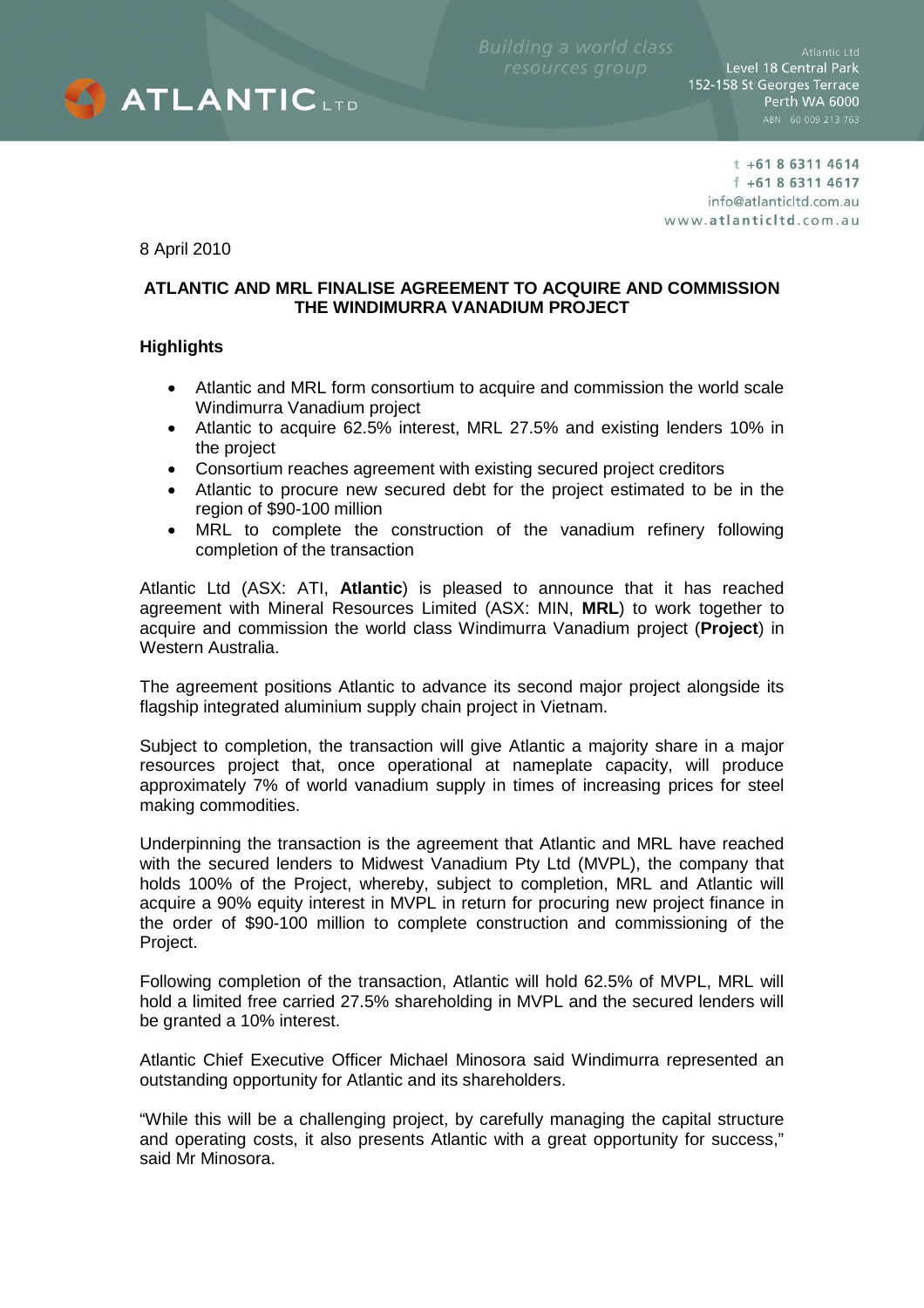

Building a world class<br>
resources group<br>
152-158 St Georges Terrace

152-158 St Georges Terrace Perth WA 6000

 $t + 61863114614$  $f$  +61 8 6311 4617 info@atlanticltd.com.au www.atlanticltd.com.au

8 April 2010

## **ATLANTIC AND MRL FINALISE AGREEMENT TO ACQUIRE AND COMMISSION THE WINDIMURRA VANADIUM PROJECT**

### **Highlights**

- Atlantic and MRL form consortium to acquire and commission the world scale Windimurra Vanadium project
- Atlantic to acquire 62.5% interest, MRL 27.5% and existing lenders 10% in the project
- Consortium reaches agreement with existing secured project creditors
- Atlantic to procure new secured debt for the project estimated to be in the region of \$90-100 million
- MRL to complete the construction of the vanadium refinery following completion of the transaction

Atlantic Ltd (ASX: ATI, **Atlantic**) is pleased to announce that it has reached agreement with Mineral Resources Limited (ASX: MIN, **MRL**) to work together to acquire and commission the world class Windimurra Vanadium project (**Project**) in Western Australia.

The agreement positions Atlantic to advance its second major project alongside its flagship integrated aluminium supply chain project in Vietnam.

Subject to completion, the transaction will give Atlantic a majority share in a major resources project that, once operational at nameplate capacity, will produce approximately 7% of world vanadium supply in times of increasing prices for steel making commodities.

Underpinning the transaction is the agreement that Atlantic and MRL have reached with the secured lenders to Midwest Vanadium Pty Ltd (MVPL), the company that holds 100% of the Project, whereby, subject to completion, MRL and Atlantic will acquire a 90% equity interest in MVPL in return for procuring new project finance in the order of \$90-100 million to complete construction and commissioning of the Project.

Following completion of the transaction, Atlantic will hold 62.5% of MVPL, MRL will hold a limited free carried 27.5% shareholding in MVPL and the secured lenders will be granted a 10% interest.

Atlantic Chief Executive Officer Michael Minosora said Windimurra represented an outstanding opportunity for Atlantic and its shareholders.

"While this will be a challenging project, by carefully managing the capital structure and operating costs, it also presents Atlantic with a great opportunity for success," said Mr Minosora.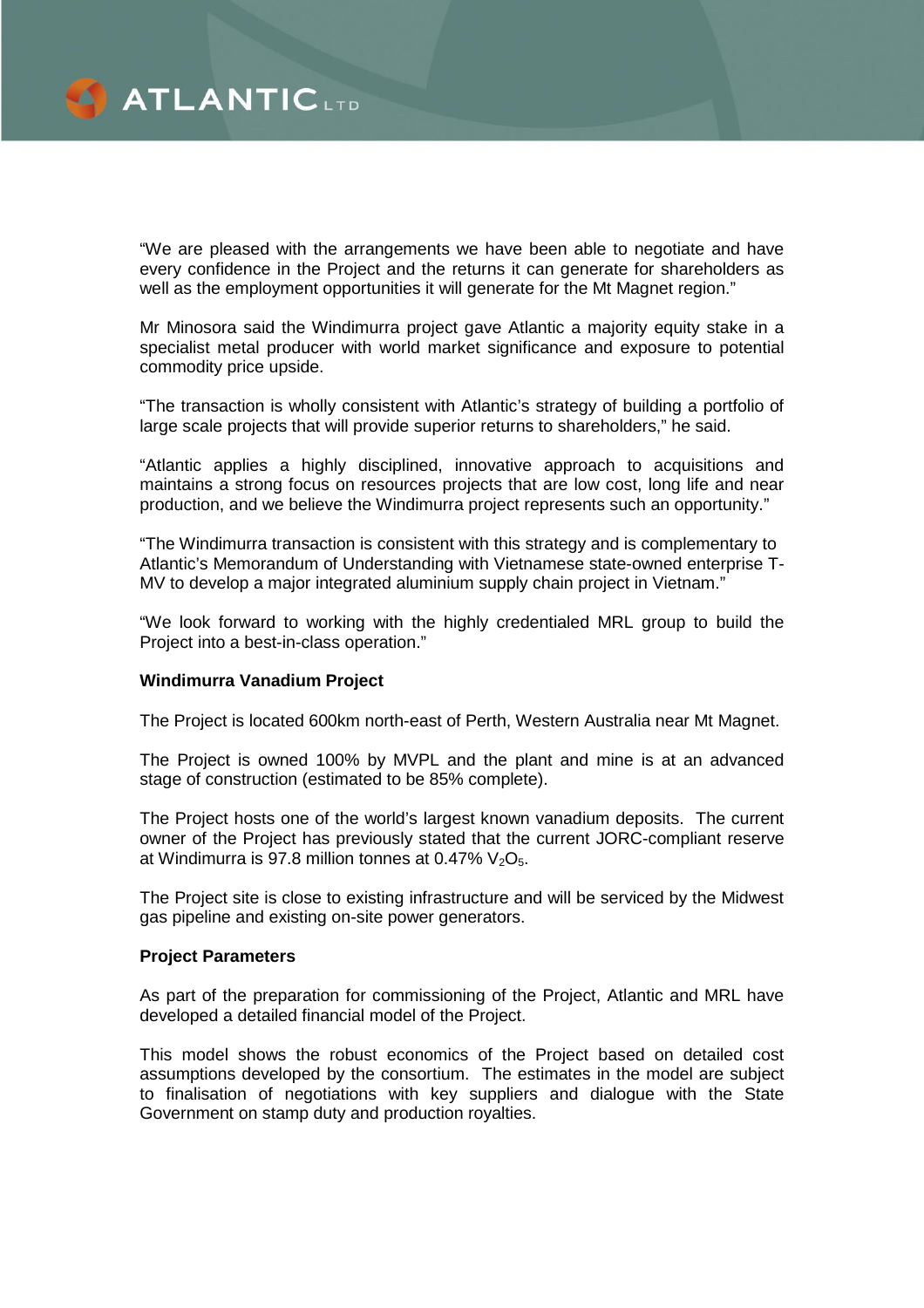

"We are pleased with the arrangements we have been able to negotiate and have every confidence in the Project and the returns it can generate for shareholders as well as the employment opportunities it will generate for the Mt Magnet region."

Mr Minosora said the Windimurra project gave Atlantic a majority equity stake in a specialist metal producer with world market significance and exposure to potential commodity price upside.

"The transaction is wholly consistent with Atlantic's strategy of building a portfolio of large scale projects that will provide superior returns to shareholders," he said.

"Atlantic applies a highly disciplined, innovative approach to acquisitions and maintains a strong focus on resources projects that are low cost, long life and near production, and we believe the Windimurra project represents such an opportunity."

"The Windimurra transaction is consistent with this strategy and is complementary to Atlantic's Memorandum of Understanding with Vietnamese state-owned enterprise T-MV to develop a major integrated aluminium supply chain project in Vietnam."

"We look forward to working with the highly credentialed MRL group to build the Project into a best-in-class operation."

#### **Windimurra Vanadium Project**

The Project is located 600km north-east of Perth, Western Australia near Mt Magnet.

The Project is owned 100% by MVPL and the plant and mine is at an advanced stage of construction (estimated to be 85% complete).

The Project hosts one of the world's largest known vanadium deposits. The current owner of the Project has previously stated that the current JORC-compliant reserve at Windimurra is 97.8 million tonnes at 0.47%  $V_2O_5$ .

The Project site is close to existing infrastructure and will be serviced by the Midwest gas pipeline and existing on-site power generators.

#### **Project Parameters**

As part of the preparation for commissioning of the Project, Atlantic and MRL have developed a detailed financial model of the Project.

This model shows the robust economics of the Project based on detailed cost assumptions developed by the consortium. The estimates in the model are subject to finalisation of negotiations with key suppliers and dialogue with the State Government on stamp duty and production royalties.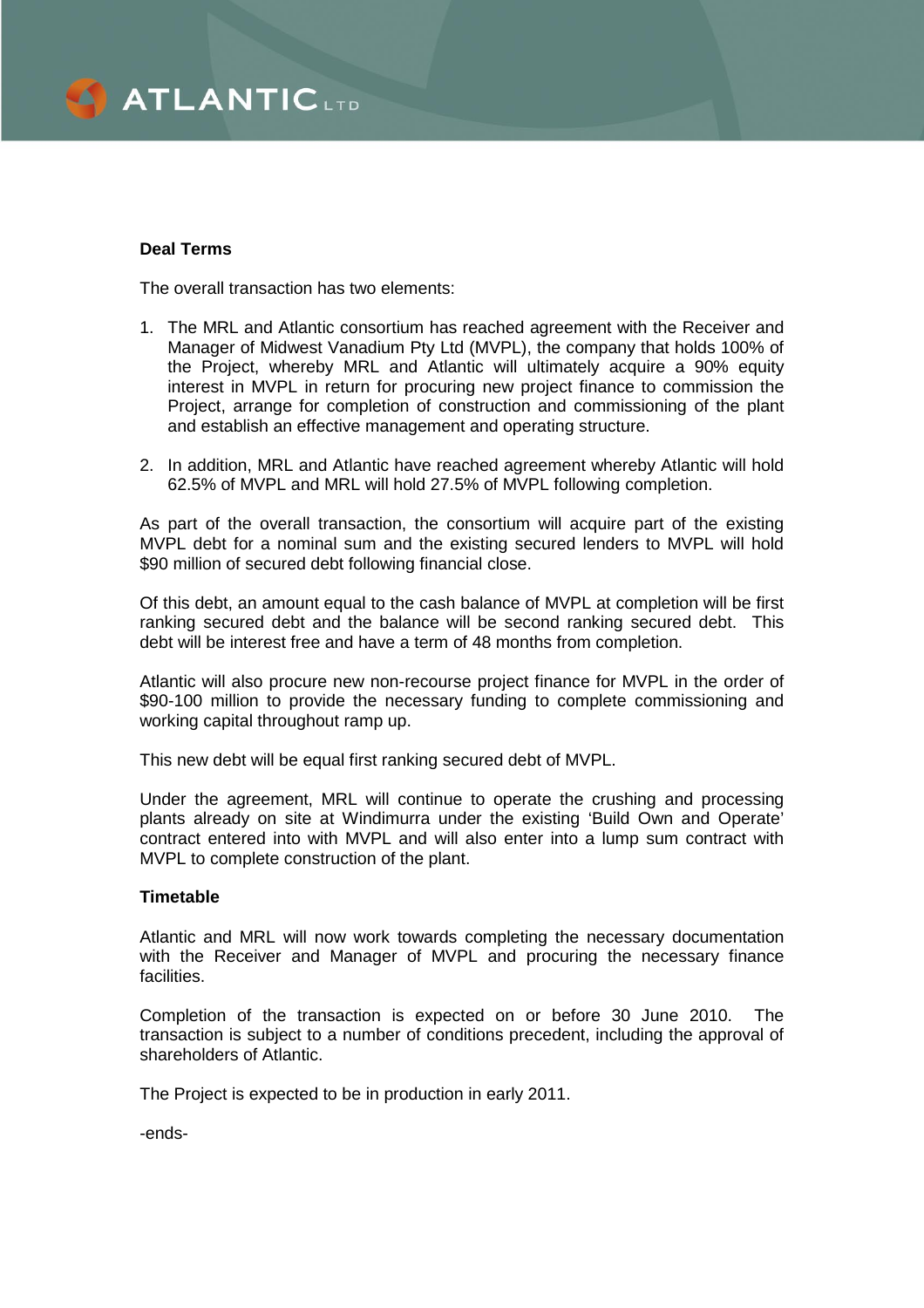

## **Deal Terms**

The overall transaction has two elements:

- 1. The MRL and Atlantic consortium has reached agreement with the Receiver and Manager of Midwest Vanadium Pty Ltd (MVPL), the company that holds 100% of the Project, whereby MRL and Atlantic will ultimately acquire a 90% equity interest in MVPL in return for procuring new project finance to commission the Project, arrange for completion of construction and commissioning of the plant and establish an effective management and operating structure.
- 2. In addition, MRL and Atlantic have reached agreement whereby Atlantic will hold 62.5% of MVPL and MRL will hold 27.5% of MVPL following completion.

As part of the overall transaction, the consortium will acquire part of the existing MVPL debt for a nominal sum and the existing secured lenders to MVPL will hold \$90 million of secured debt following financial close.

Of this debt, an amount equal to the cash balance of MVPL at completion will be first ranking secured debt and the balance will be second ranking secured debt. This debt will be interest free and have a term of 48 months from completion.

Atlantic will also procure new non-recourse project finance for MVPL in the order of \$90-100 million to provide the necessary funding to complete commissioning and working capital throughout ramp up.

This new debt will be equal first ranking secured debt of MVPL.

Under the agreement, MRL will continue to operate the crushing and processing plants already on site at Windimurra under the existing 'Build Own and Operate' contract entered into with MVPL and will also enter into a lump sum contract with MVPL to complete construction of the plant.

#### **Timetable**

Atlantic and MRL will now work towards completing the necessary documentation with the Receiver and Manager of MVPL and procuring the necessary finance facilities.

Completion of the transaction is expected on or before 30 June 2010. The transaction is subject to a number of conditions precedent, including the approval of shareholders of Atlantic.

The Project is expected to be in production in early 2011.

-ends-